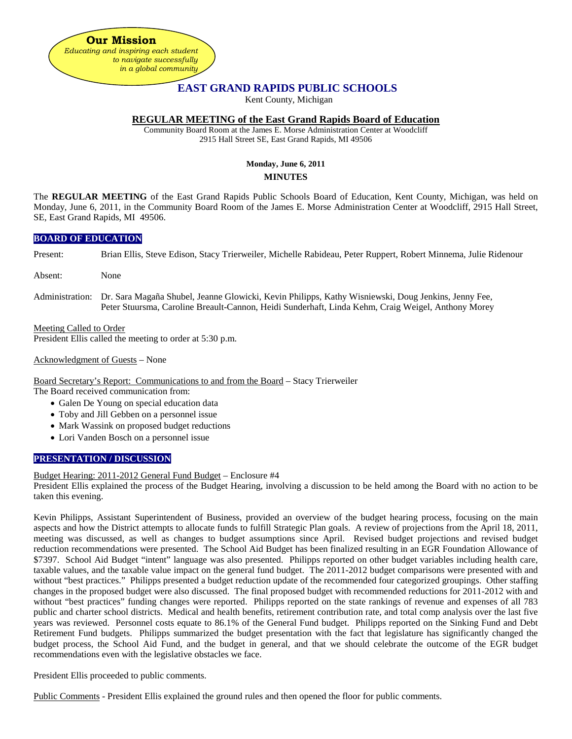**Our Mission** *Educating and inspiring each student to navigate successfully in a global community*

# **EAST GRAND RAPIDS PUBLIC SCHOOLS**

Kent County, Michigan

# **REGULAR MEETING of the East Grand Rapids Board of Education**

Community Board Room at the James E. Morse Administration Center at Woodcliff 2915 Hall Street SE, East Grand Rapids, MI 49506

# **Monday, June 6, 2011 MINUTES**

The **REGULAR MEETING** of the East Grand Rapids Public Schools Board of Education, Kent County, Michigan, was held on Monday, June 6, 2011, in the Community Board Room of the James E. Morse Administration Center at Woodcliff, 2915 Hall Street, SE, East Grand Rapids, MI 49506.

### **BOARD OF EDUCATION**

Present: Brian Ellis, Steve Edison, Stacy Trierweiler, Michelle Rabideau, Peter Ruppert, Robert Minnema, Julie Ridenour

Absent: None

Administration: Dr. Sara Magaña Shubel, Jeanne Glowicki, Kevin Philipps, Kathy Wisniewski, Doug Jenkins, Jenny Fee, Peter Stuursma, Caroline Breault-Cannon, Heidi Sunderhaft, Linda Kehm, Craig Weigel, Anthony Morey

Meeting Called to Order President Ellis called the meeting to order at 5:30 p.m.

Acknowledgment of Guests – None

Board Secretary's Report: Communications to and from the Board – Stacy Trierweiler

The Board received communication from:

- Galen De Young on special education data
- Toby and Jill Gebben on a personnel issue
- Mark Wassink on proposed budget reductions
- Lori Vanden Bosch on a personnel issue

# **PRESENTATION / DISCUSSION**

#### Budget Hearing: 2011-2012 General Fund Budget – Enclosure #4

President Ellis explained the process of the Budget Hearing, involving a discussion to be held among the Board with no action to be taken this evening.

Kevin Philipps, Assistant Superintendent of Business, provided an overview of the budget hearing process, focusing on the main aspects and how the District attempts to allocate funds to fulfill Strategic Plan goals. A review of projections from the April 18, 2011, meeting was discussed, as well as changes to budget assumptions since April. Revised budget projections and revised budget reduction recommendations were presented. The School Aid Budget has been finalized resulting in an EGR Foundation Allowance of \$7397. School Aid Budget "intent" language was also presented. Philipps reported on other budget variables including health care, taxable values, and the taxable value impact on the general fund budget. The 2011-2012 budget comparisons were presented with and without "best practices." Philipps presented a budget reduction update of the recommended four categorized groupings. Other staffing changes in the proposed budget were also discussed. The final proposed budget with recommended reductions for 2011-2012 with and without "best practices" funding changes were reported. Philipps reported on the state rankings of revenue and expenses of all 783 public and charter school districts. Medical and health benefits, retirement contribution rate, and total comp analysis over the last five years was reviewed. Personnel costs equate to 86.1% of the General Fund budget. Philipps reported on the Sinking Fund and Debt Retirement Fund budgets. Philipps summarized the budget presentation with the fact that legislature has significantly changed the budget process, the School Aid Fund, and the budget in general, and that we should celebrate the outcome of the EGR budget recommendations even with the legislative obstacles we face.

President Ellis proceeded to public comments.

Public Comments - President Ellis explained the ground rules and then opened the floor for public comments.